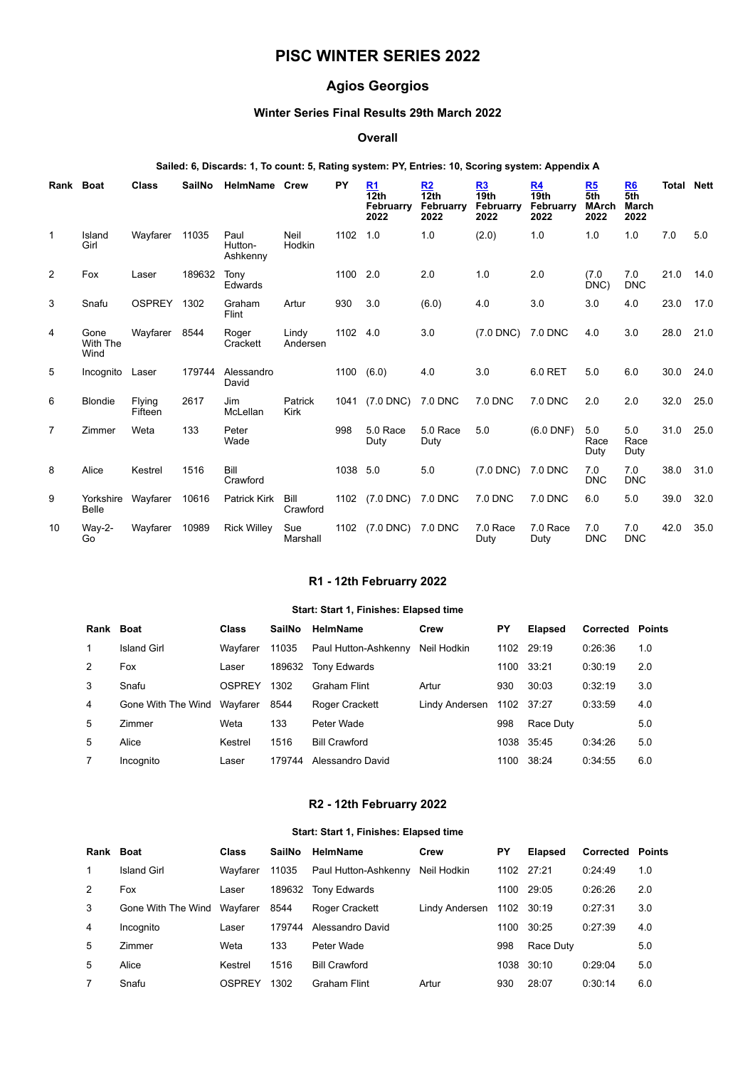# **PISC WINTER SERIES 2022**

# **Agios Georgios**

# **Winter Series Final Results 29th March 2022**

#### **Overall**

## **Sailed: 6, Discards: 1, To count: 5, Rating system: PY, Entries: 10, Scoring system: Appendix A**

| Rank           | <b>Boat</b>               | <b>Class</b>      | <b>SailNo</b> | <b>HelmName Crew</b>        |                        | PY       | R <sub>1</sub><br>12 <sub>th</sub><br>Februarry<br>2022 | R2<br>12 <sub>th</sub><br>Februarry<br>2022 | <u>R3</u><br>$\overline{19}$ th<br>Februarry<br>2022 | R4<br>19 <sub>th</sub><br>Februarry<br>2022 | R5<br>5th<br><b>MArch</b><br>2022 | R <sub>6</sub><br>5th<br><b>March</b><br>2022 | Total | <b>Nett</b> |
|----------------|---------------------------|-------------------|---------------|-----------------------------|------------------------|----------|---------------------------------------------------------|---------------------------------------------|------------------------------------------------------|---------------------------------------------|-----------------------------------|-----------------------------------------------|-------|-------------|
| 1              | Island<br>Girl            | Wayfarer          | 11035         | Paul<br>Hutton-<br>Ashkenny | Neil<br>Hodkin         | 1102     | 1.0                                                     | 1.0                                         | (2.0)                                                | 1.0                                         | 1.0                               | 1.0                                           | 7.0   | 5.0         |
| 2              | Fox                       | Laser             | 189632        | Tony<br>Edwards             |                        | 1100 2.0 |                                                         | 2.0                                         | 1.0                                                  | 2.0                                         | (7.0)<br>DNC)                     | 7.0<br><b>DNC</b>                             | 21.0  | 14.0        |
| 3              | Snafu                     | OSPREY            | 1302          | Graham<br>Flint             | Artur                  | 930      | 3.0                                                     | (6.0)                                       | 4.0                                                  | 3.0                                         | 3.0                               | 4.0                                           | 23.0  | 17.0        |
| 4              | Gone<br>With The<br>Wind  | Wayfarer 8544     |               | Roger<br>Crackett           | Lindy<br>Andersen      | 1102 4.0 |                                                         | 3.0                                         | $(7.0$ DNC $)$                                       | 7.0 DNC                                     | 4.0                               | 3.0                                           | 28.0  | 21.0        |
| 5              | Incognito                 | Laser             | 179744        | Alessandro<br>David         |                        | 1100     | (6.0)                                                   | 4.0                                         | 3.0                                                  | 6.0 RET                                     | 5.0                               | 6.0                                           | 30.0  | 24.0        |
| 6              | <b>Blondie</b>            | Flying<br>Fifteen | 2617          | Jim<br>McLellan             | Patrick<br><b>Kirk</b> |          | 1041 (7.0 DNC)                                          | 7.0 DNC                                     | 7.0 DNC                                              | 7.0 DNC                                     | 2.0                               | 2.0                                           | 32.0  | 25.0        |
| $\overline{7}$ | Zimmer                    | Weta              | 133           | Peter<br>Wade               |                        | 998      | 5.0 Race<br>Duty                                        | 5.0 Race<br>Duty                            | 5.0                                                  | $(6.0$ DNF)                                 | 5.0<br>Race<br>Duty               | 5.0<br>Race<br>Duty                           | 31.0  | 25.0        |
| 8              | Alice                     | Kestrel           | 1516          | Bill<br>Crawford            |                        | 1038 5.0 |                                                         | 5.0                                         | $(7.0$ DNC)                                          | 7.0 DNC                                     | 7.0<br><b>DNC</b>                 | 7.0<br><b>DNC</b>                             | 38.0  | 31.0        |
| 9              | Yorkshire<br><b>Belle</b> | Wayfarer          | 10616         | Patrick Kirk                | Bill<br>Crawford       |          | 1102 (7.0 DNC)                                          | 7.0 DNC                                     | 7.0 DNC                                              | 7.0 DNC                                     | 6.0                               | 5.0                                           | 39.0  | 32.0        |
| 10             | Way-2-<br>Go              | Wayfarer          | 10989         | <b>Rick Willey</b>          | Sue<br>Marshall        | 1102     | (7.0 DNC) 7.0 DNC                                       |                                             | 7.0 Race<br>Duty                                     | 7.0 Race<br>Duty                            | 7.0<br><b>DNC</b>                 | 7.0<br><b>DNC</b>                             | 42.0  | 35.0        |

## **R1 - 12th Februarry 2022**

#### **Start: Start 1, Finishes: Elapsed time**

<span id="page-0-0"></span>

| Rank Boat |                    | <b>Class</b> | SailNo | HelmName             | Crew           | PΥ   | <b>Elapsed</b> | <b>Corrected Points</b> |     |
|-----------|--------------------|--------------|--------|----------------------|----------------|------|----------------|-------------------------|-----|
| 1         | Island Girl        | Wavfarer     | 11035  | Paul Hutton-Ashkenny | Neil Hodkin    | 1102 | 29:19          | 0:26:36                 | 1.0 |
| 2         | Fox                | Laser        | 189632 | <b>Tony Edwards</b>  |                | 1100 | 33:21          | 0:30:19                 | 2.0 |
| 3         | Snafu              | OSPREY       | 1302   | <b>Graham Flint</b>  | Artur          | 930  | 30:03          | 0:32:19                 | 3.0 |
| 4         | Gone With The Wind | Wavfarer     | 8544   | Roger Crackett       | Lindy Andersen | 1102 | 37:27          | 0:33:59                 | 4.0 |
| 5         | Zimmer             | Weta         | 133    | Peter Wade           |                | 998  | Race Duty      |                         | 5.0 |
| 5         | Alice              | Kestrel      | 1516   | <b>Bill Crawford</b> |                | 1038 | 35:45          | 0:34:26                 | 5.0 |
|           | Incognito          | Laser        | 179744 | Alessandro David     |                | 1100 | 38:24          | 0:34:55                 | 6.0 |

## **R2 - 12th Februarry 2022**

#### **Start: Start 1, Finishes: Elapsed time**

<span id="page-0-1"></span>

| Rank Boat    |                    | <b>Class</b> | SailNo | HelmName             | Crew           | PΥ   | <b>Elapsed</b> | <b>Corrected Points</b> |     |
|--------------|--------------------|--------------|--------|----------------------|----------------|------|----------------|-------------------------|-----|
| $\mathbf{1}$ | Island Girl        | Wavfarer     | 11035  | Paul Hutton-Ashkenny | Neil Hodkin    | 1102 | 27:21          | 0:24:49                 | 1.0 |
| 2            | Fox                | Laser        | 189632 | <b>Tony Edwards</b>  |                | 1100 | 29:05          | 0:26:26                 | 2.0 |
| 3            | Gone With The Wind | Wayfarer     | 8544   | Roger Crackett       | Lindy Andersen | 1102 | 30:19          | 0:27:31                 | 3.0 |
| 4            | Incognito          | Laser        | 179744 | Alessandro David     |                | 1100 | 30:25          | 0:27:39                 | 4.0 |
| 5            | Zimmer             | Weta         | 133    | Peter Wade           |                | 998  | Race Duty      |                         | 5.0 |
| 5            | Alice              | Kestrel      | 1516   | <b>Bill Crawford</b> |                | 1038 | 30:10          | 0:29:04                 | 5.0 |
|              | Snafu              | OSPREY       | 1302   | <b>Graham Flint</b>  | Artur          | 930  | 28:07          | 0:30:14                 | 6.0 |